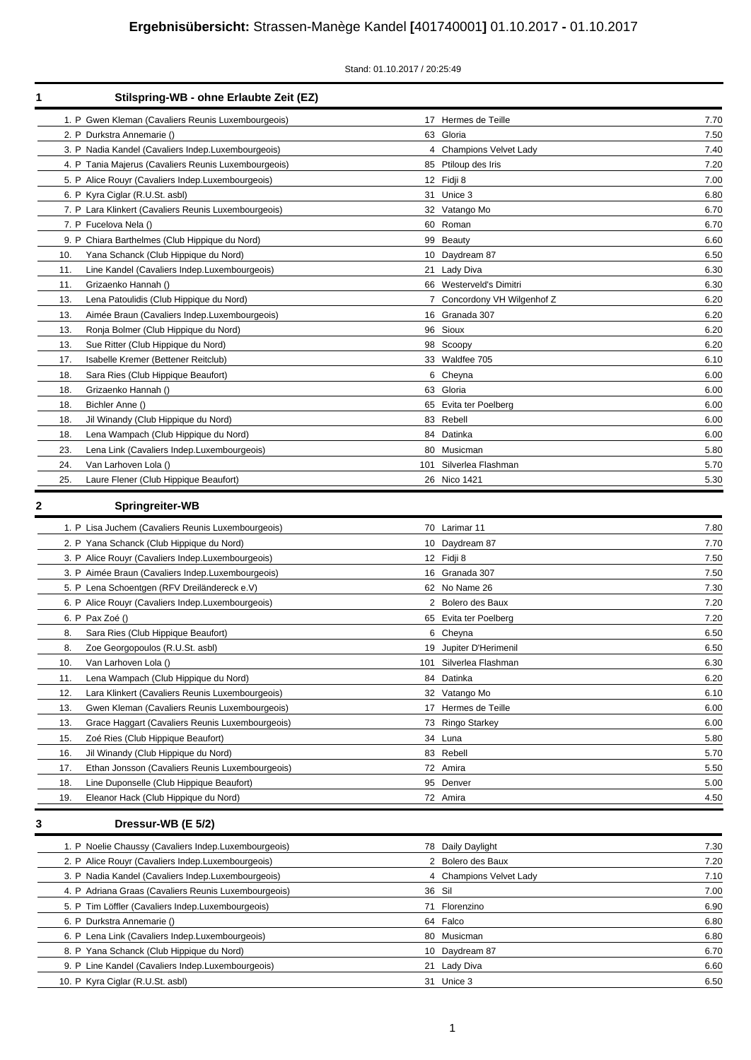### Stand: 01.10.2017 / 20:25:49

| 1 |     | Stilspring-WB - ohne Erlaubte Zeit (EZ)              |        |                             |      |
|---|-----|------------------------------------------------------|--------|-----------------------------|------|
|   |     | 1. P Gwen Kleman (Cavaliers Reunis Luxembourgeois)   |        | 17 Hermes de Teille         | 7.70 |
|   |     | 2. P Durkstra Annemarie ()                           |        | 63 Gloria                   | 7.50 |
|   |     | 3. P Nadia Kandel (Cavaliers Indep Luxembourgeois)   |        | 4 Champions Velvet Lady     | 7.40 |
|   |     | 4. P Tania Majerus (Cavaliers Reunis Luxembourgeois) |        | 85 Ptiloup des Iris         | 7.20 |
|   |     | 5. P Alice Rouyr (Cavaliers Indep.Luxembourgeois)    |        | 12 Fidji 8                  | 7.00 |
|   |     | 6. P Kyra Ciglar (R.U.St. asbl)                      |        | 31 Unice 3                  | 6.80 |
|   |     | 7. P Lara Klinkert (Cavaliers Reunis Luxembourgeois) |        | 32 Vatango Mo               | 6.70 |
|   |     | 7. P Fucelova Nela ()                                |        | 60 Roman                    | 6.70 |
|   |     | 9. P Chiara Barthelmes (Club Hippique du Nord)       |        | 99 Beauty                   | 6.60 |
|   | 10. | Yana Schanck (Club Hippique du Nord)                 |        | 10 Daydream 87              | 6.50 |
|   | 11. | Line Kandel (Cavaliers Indep.Luxembourgeois)         |        | 21 Lady Diva                | 6.30 |
|   | 11. | Grizaenko Hannah ()                                  |        | 66 Westerveld's Dimitri     | 6.30 |
|   | 13. | Lena Patoulidis (Club Hippique du Nord)              |        | 7 Concordony VH Wilgenhof Z | 6.20 |
|   | 13. | Aimée Braun (Cavaliers Indep.Luxembourgeois)         |        | 16 Granada 307              | 6.20 |
|   | 13. | Ronja Bolmer (Club Hippique du Nord)                 |        | 96 Sioux                    | 6.20 |
|   | 13. | Sue Ritter (Club Hippique du Nord)                   |        | 98 Scoopy                   | 6.20 |
|   | 17. | Isabelle Kremer (Bettener Reitclub)                  |        | 33 Waldfee 705              | 6.10 |
|   | 18. | Sara Ries (Club Hippique Beaufort)                   |        | 6 Cheyna                    | 6.00 |
|   | 18. | Grizaenko Hannah ()                                  |        | 63 Gloria                   | 6.00 |
|   | 18. | Bichler Anne ()                                      |        | 65 Evita ter Poelberg       | 6.00 |
|   | 18. | Jil Winandy (Club Hippique du Nord)                  |        | 83 Rebell                   | 6.00 |
|   | 18. | Lena Wampach (Club Hippique du Nord)                 |        | 84 Datinka                  | 6.00 |
|   | 23. | Lena Link (Cavaliers Indep.Luxembourgeois)           |        | 80 Musicman                 | 5.80 |
|   | 24. | Van Larhoven Lola ()                                 |        | 101 Silverlea Flashman      | 5.70 |
|   | 25. | Laure Flener (Club Hippique Beaufort)                |        | 26 Nico 1421                | 5.30 |
|   |     |                                                      |        |                             |      |
| 2 |     | <b>Springreiter-WB</b>                               |        |                             |      |
|   |     | 1. P Lisa Juchem (Cavaliers Reunis Luxembourgeois)   |        | 70 Larimar 11               | 7.80 |
|   |     | 2. P Yana Schanck (Club Hippique du Nord)            |        | 10 Daydream 87              | 7.70 |
|   |     | 3. P Alice Rouyr (Cavaliers Indep.Luxembourgeois)    |        | 12 Fidji 8                  | 7.50 |
|   |     | 3. P Aimée Braun (Cavaliers Indep.Luxembourgeois)    |        | 16 Granada 307              | 7.50 |
|   |     | 5. P Lena Schoentgen (RFV Dreiländereck e.V)         |        | 62 No Name 26               | 7.30 |
|   |     | 6. P Alice Rouyr (Cavaliers Indep.Luxembourgeois)    |        | 2 Bolero des Baux           | 7.20 |
|   |     | 6. P Pax Zoé ()                                      |        | 65 Evita ter Poelberg       | 7.20 |
|   | 8.  | Sara Ries (Club Hippique Beaufort)                   |        | 6 Cheyna                    | 6.50 |
|   | 8.  | Zoe Georgopoulos (R.U.St. asbl)                      |        | 19 Jupiter D'Herimenil      | 6.50 |
|   | 10. | Van Larhoven Lola ()                                 |        | 101 Silverlea Flashman      | 6.30 |
|   | 11. | Lena Wampach (Club Hippique du Nord)                 |        | 84 Datinka                  | 6.20 |
|   | 12. | Lara Klinkert (Cavaliers Reunis Luxembourgeois)      |        | 32 Vatango Mo               | 6.10 |
|   | 13. | Gwen Kleman (Cavaliers Reunis Luxembourgeois)        |        | 17 Hermes de Teille         | 6.00 |
|   | 13. | Grace Haggart (Cavaliers Reunis Luxembourgeois)      |        | 73 Ringo Starkey            | 6.00 |
|   | 15. | Zoé Ries (Club Hippique Beaufort)                    |        | 34 Luna                     | 5.80 |
|   | 16. | Jil Winandy (Club Hippique du Nord)                  |        | 83 Rebell                   | 5.70 |
|   | 17. | Ethan Jonsson (Cavaliers Reunis Luxembourgeois)      |        | 72 Amira                    | 5.50 |
|   | 18. | Line Duponselle (Club Hippique Beaufort)             |        | 95 Denver                   | 5.00 |
|   | 19. | Eleanor Hack (Club Hippique du Nord)                 |        | 72 Amira                    | 4.50 |
| 3 |     | Dressur-WB (E 5/2)                                   |        |                             |      |
|   |     |                                                      |        |                             |      |
|   |     | 1. P Noelie Chaussy (Cavaliers Indep Luxembourgeois) |        | 78 Daily Daylight           | 7.30 |
|   |     | 2. P Alice Rouyr (Cavaliers Indep.Luxembourgeois)    |        | 2 Bolero des Baux           | 7.20 |
|   |     | 3. P Nadia Kandel (Cavaliers Indep.Luxembourgeois)   |        | 4 Champions Velvet Lady     | 7.10 |
|   |     | 4. P Adriana Graas (Cavaliers Reunis Luxembourgeois) | 36 Sil |                             | 7.00 |
|   |     | 5. P Tim Löffler (Cavaliers Indep.Luxembourgeois)    |        | 71 Florenzino               | 6.90 |
|   |     | 6. P Durkstra Annemarie ()                           |        | 64 Falco                    | 6.80 |
|   |     | 6. P Lena Link (Cavaliers Indep.Luxembourgeois)      |        | 80 Musicman                 | 6.80 |
|   |     | 8. P Yana Schanck (Club Hippique du Nord)            |        | 10 Daydream 87              | 6.70 |
|   |     | 9. P Line Kandel (Cavaliers Indep.Luxembourgeois)    |        | 21 Lady Diva                | 6.60 |
|   |     | 10. P Kyra Ciglar (R.U.St. asbl)                     |        | 31 Unice 3                  | 6.50 |
|   |     |                                                      |        |                             |      |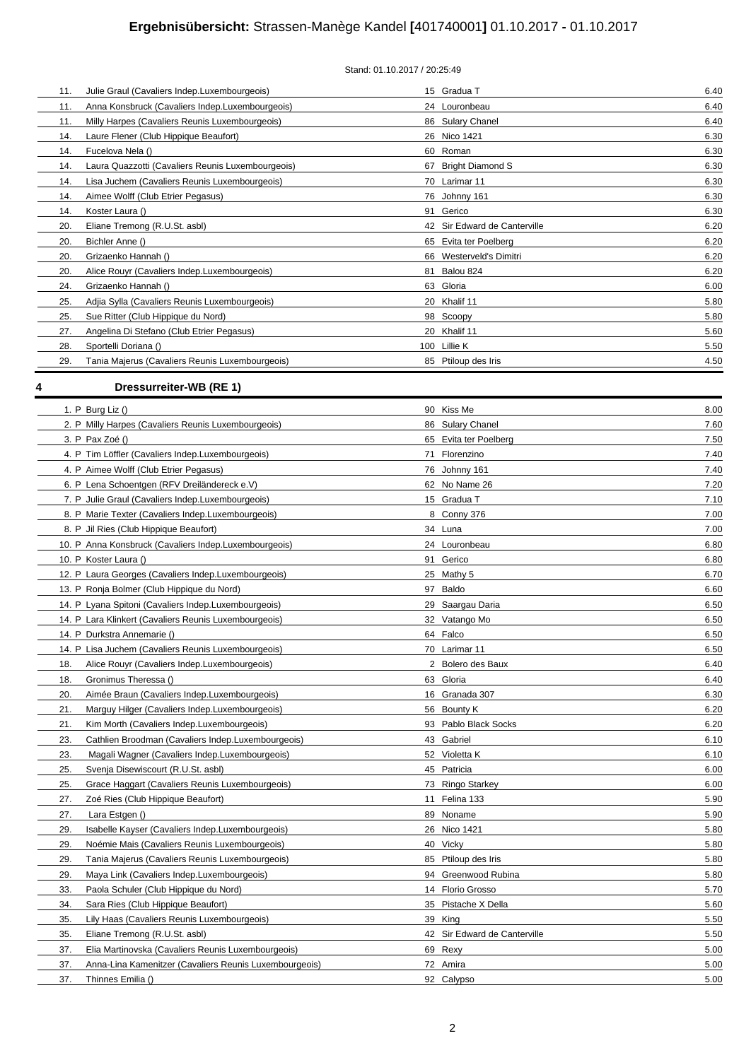# **Ergebnisübersicht:** Strassen-Manège Kandel **[**401740001**]** 01.10.2017 **-** 01.10.2017

| 11. | Julie Graul (Cavaliers Indep.Luxembourgeois)      | 15 Gradua T                  | 6.40 |
|-----|---------------------------------------------------|------------------------------|------|
| 11. | Anna Konsbruck (Cavaliers Indep.Luxembourgeois)   | 24 Louronbeau                | 6.40 |
| 11. | Milly Harpes (Cavaliers Reunis Luxembourgeois)    | 86 Sulary Chanel             | 6.40 |
| 14. | Laure Flener (Club Hippique Beaufort)             | 26 Nico 1421                 | 6.30 |
| 14. | Fucelova Nela ()                                  | 60 Roman                     | 6.30 |
| 14. | Laura Quazzotti (Cavaliers Reunis Luxembourgeois) | 67 Bright Diamond S          | 6.30 |
| 14. | Lisa Juchem (Cavaliers Reunis Luxembourgeois)     | 70 Larimar 11                | 6.30 |
| 14. | Aimee Wolff (Club Etrier Pegasus)                 | 76 Johnny 161                | 6.30 |
| 14. | Koster Laura ()                                   | 91 Gerico                    | 6.30 |
| 20. | Eliane Tremong (R.U.St. asbl)                     | 42 Sir Edward de Canterville | 6.20 |
| 20. | Bichler Anne ()                                   | 65 Evita ter Poelberg        | 6.20 |
| 20. | Grizaenko Hannah ()                               | 66 Westerveld's Dimitri      | 6.20 |
| 20. | Alice Rouyr (Cavaliers Indep.Luxembourgeois)      | 81 Balou 824                 | 6.20 |
| 24. | Grizaenko Hannah ()                               | 63 Gloria                    | 6.00 |
| 25. | Adjia Sylla (Cavaliers Reunis Luxembourgeois)     | 20 Khalif 11                 | 5.80 |
| 25. | Sue Ritter (Club Hippique du Nord)                | 98 Scoopy                    | 5.80 |
| 27. | Angelina Di Stefano (Club Etrier Pegasus)         | 20 Khalif 11                 | 5.60 |
| 28. | Sportelli Doriana ()                              | 100 Lillie K                 | 5.50 |
| 29. | Tania Majerus (Cavaliers Reunis Luxembourgeois)   | 85 Ptiloup des Iris          | 4.50 |
|     |                                                   |                              |      |

# **4 Dressurreiter-WB (RE 1)**

| 1. P Burg Liz $()$                                            | 90 Kiss Me                   | 8.00 |
|---------------------------------------------------------------|------------------------------|------|
| 2. P Milly Harpes (Cavaliers Reunis Luxembourgeois)           | 86 Sulary Chanel             | 7.60 |
| 3. P Pax Zoé ()                                               | 65 Evita ter Poelberg        | 7.50 |
| 4. P Tim Löffler (Cavaliers Indep.Luxembourgeois)             | 71 Florenzino                | 7.40 |
| 4. P Aimee Wolff (Club Etrier Pegasus)                        | 76 Johnny 161                | 7.40 |
| 6. P Lena Schoentgen (RFV Dreiländereck e.V)                  | 62 No Name 26                | 7.20 |
| 7. P Julie Graul (Cavaliers Indep.Luxembourgeois)             | 15 Gradua T                  | 7.10 |
| 8. P Marie Texter (Cavaliers Indep.Luxembourgeois)            | 8 Conny 376                  | 7.00 |
| 8. P Jil Ries (Club Hippique Beaufort)                        | 34 Luna                      | 7.00 |
| 10. P Anna Konsbruck (Cavaliers Indep.Luxembourgeois)         | 24 Louronbeau                | 6.80 |
| 10. P Koster Laura ()                                         | 91 Gerico                    | 6.80 |
| 12. P Laura Georges (Cavaliers Indep.Luxembourgeois)          | 25 Mathy 5                   | 6.70 |
| 13. P Ronja Bolmer (Club Hippique du Nord)                    | 97 Baldo                     | 6.60 |
| 14. P Lyana Spitoni (Cavaliers Indep.Luxembourgeois)          | 29 Saargau Daria             | 6.50 |
| 14. P Lara Klinkert (Cavaliers Reunis Luxembourgeois)         | 32 Vatango Mo                | 6.50 |
| 14. P Durkstra Annemarie ()                                   | 64 Falco                     | 6.50 |
| 14. P Lisa Juchem (Cavaliers Reunis Luxembourgeois)           | 70 Larimar 11                | 6.50 |
| Alice Rouyr (Cavaliers Indep.Luxembourgeois)<br>18.           | 2 Bolero des Baux            | 6.40 |
| Gronimus Theressa ()<br>18.                                   | 63 Gloria                    | 6.40 |
| 20.<br>Aimée Braun (Cavaliers Indep.Luxembourgeois)           | 16 Granada 307               | 6.30 |
| 21.<br>Marguy Hilger (Cavaliers Indep.Luxembourgeois)         | 56 Bounty K                  | 6.20 |
| 21.<br>Kim Morth (Cavaliers Indep.Luxembourgeois)             | 93 Pablo Black Socks         | 6.20 |
| 23.<br>Cathlien Broodman (Cavaliers Indep.Luxembourgeois)     | 43 Gabriel                   | 6.10 |
| 23.<br>Magali Wagner (Cavaliers Indep Luxembourgeois)         | 52 Violetta K                | 6.10 |
| 25.<br>Svenja Disewiscourt (R.U.St. asbl)                     | 45 Patricia                  | 6.00 |
| 25.<br>Grace Haggart (Cavaliers Reunis Luxembourgeois)        | 73 Ringo Starkey             | 6.00 |
| 27.<br>Zoé Ries (Club Hippique Beaufort)                      | 11 Felina 133                | 5.90 |
| 27.<br>Lara Estgen ()                                         | 89 Noname                    | 5.90 |
| 29.<br>Isabelle Kayser (Cavaliers Indep.Luxembourgeois)       | 26 Nico 1421                 | 5.80 |
| 29.<br>Noémie Mais (Cavaliers Reunis Luxembourgeois)          | 40 Vicky                     | 5.80 |
| 29.<br>Tania Majerus (Cavaliers Reunis Luxembourgeois)        | 85 Ptiloup des Iris          | 5.80 |
| 29.<br>Maya Link (Cavaliers Indep.Luxembourgeois)             | 94 Greenwood Rubina          | 5.80 |
| 33.<br>Paola Schuler (Club Hippique du Nord)                  | 14 Florio Grosso             | 5.70 |
| 34.<br>Sara Ries (Club Hippique Beaufort)                     | 35 Pistache X Della          | 5.60 |
| Lily Haas (Cavaliers Reunis Luxembourgeois)<br>35.            | 39 King                      | 5.50 |
| Eliane Tremong (R.U.St. asbl)<br>35.                          | 42 Sir Edward de Canterville | 5.50 |
| Elia Martinovska (Cavaliers Reunis Luxembourgeois)<br>37.     | 69 Rexy                      | 5.00 |
| 37.<br>Anna-Lina Kamenitzer (Cavaliers Reunis Luxembourgeois) | 72 Amira                     | 5.00 |
| 37.<br>Thinnes Emilia ()                                      | 92 Calypso                   | 5.00 |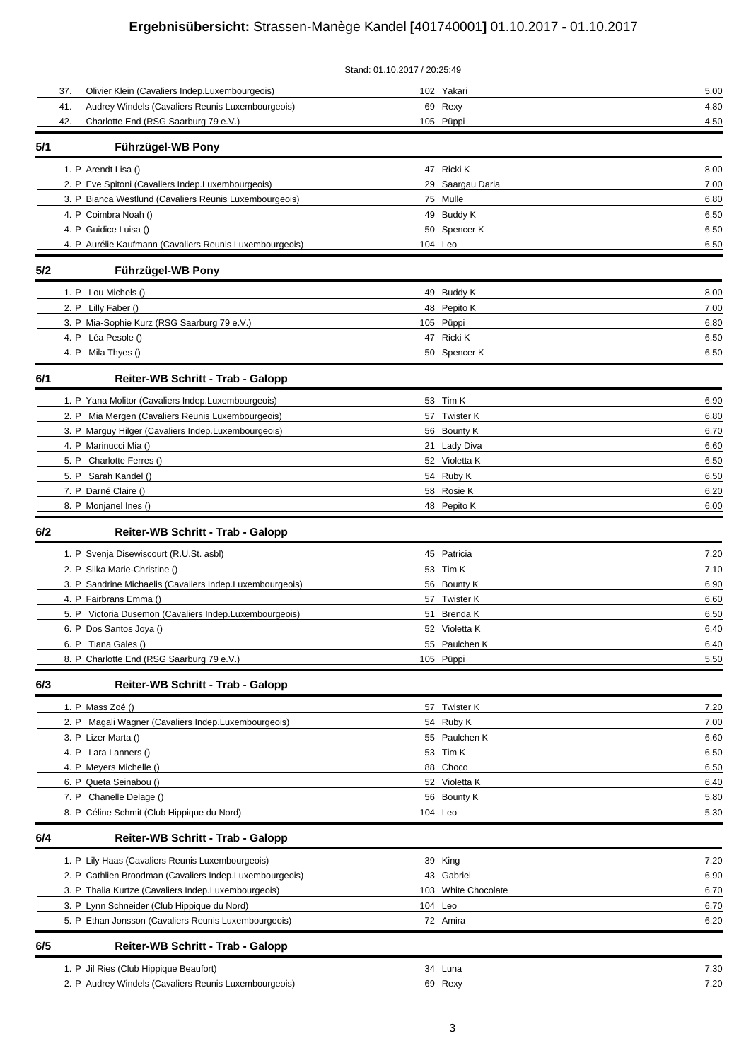# **Ergebnisübersicht:** Strassen-Manège Kandel **[**401740001**]** 01.10.2017 **-** 01.10.2017

|                                                          | Stand: 01.10.2017 / 20:25:49 |      |
|----------------------------------------------------------|------------------------------|------|
| Olivier Klein (Cavaliers Indep.Luxembourgeois)<br>37.    | 102 Yakari                   | 5.00 |
| Audrey Windels (Cavaliers Reunis Luxembourgeois)<br>41.  | 69 Rexy                      | 4.80 |
| Charlotte End (RSG Saarburg 79 e.V.)<br>42.              | 105 Püppi                    | 4.50 |
| Führzügel-WB Pony<br>5/1                                 |                              |      |
| 1. P Arendt Lisa ()                                      | 47 Ricki K                   | 8.00 |
| 2. P Eve Spitoni (Cavaliers Indep.Luxembourgeois)        | 29 Saargau Daria             | 7.00 |
| 3. P Bianca Westlund (Cavaliers Reunis Luxembourgeois)   | 75 Mulle                     | 6.80 |
| 4. P Coimbra Noah ()                                     | 49 Buddy K                   | 6.50 |
| 4. P Guidice Luisa ()                                    | 50 Spencer K                 | 6.50 |
| 4. P Aurélie Kaufmann (Cavaliers Reunis Luxembourgeois)  | 104 Leo                      | 6.50 |
| Führzügel-WB Pony<br>5/2                                 |                              |      |
| 1. P Lou Michels ()                                      | 49 Buddy K                   | 8.00 |
| 2. P Lilly Faber ()                                      | 48 Pepito K                  | 7.00 |
| 3. P Mia-Sophie Kurz (RSG Saarburg 79 e.V.)              | 105 Püppi                    | 6.80 |
| 4. P Léa Pesole ()                                       | 47 Ricki K                   | 6.50 |
| 4. P Mila Thyes ()                                       | 50 Spencer K                 | 6.50 |
| Reiter-WB Schritt - Trab - Galopp<br>6/1                 |                              |      |
| 1. P Yana Molitor (Cavaliers Indep.Luxembourgeois)       | 53 Tim K                     | 6.90 |
| 2. P Mia Mergen (Cavaliers Reunis Luxembourgeois)        | 57 Twister K                 | 6.80 |
| 3. P Marguy Hilger (Cavaliers Indep.Luxembourgeois)      | 56 Bounty K                  | 6.70 |
| 4. P Marinucci Mia ()                                    | 21 Lady Diva                 | 6.60 |
| 5. P Charlotte Ferres ()                                 | 52 Violetta K                | 6.50 |
| 5. P Sarah Kandel ()                                     | 54 Ruby K                    | 6.50 |
| 7. P Darné Claire ()                                     | 58 Rosie K                   | 6.20 |
| 8. P Monjanel Ines ()                                    | 48 Pepito K                  | 6.00 |
| 6/2<br>Reiter-WB Schritt - Trab - Galopp                 |                              |      |
| 1. P Svenja Disewiscourt (R.U.St. asbl)                  | 45 Patricia                  | 7.20 |
| 2. P Silka Marie-Christine ()                            | 53 Tim K                     | 7.10 |
| 3. P Sandrine Michaelis (Cavaliers Indep.Luxembourgeois) | 56 Bounty K                  | 6.90 |
| 4. P Fairbrans Emma ()                                   | 57 Twister K                 | 6.60 |
| 5. P Victoria Dusemon (Cavaliers Indep.Luxembourgeois)   | 51 Brenda K                  | 6.50 |
| 6. P Dos Santos Joya ()                                  | 52 Violetta K                | 6.40 |
| 6. P Tiana Gales ()                                      | 55 Paulchen K                | 6.40 |
| 8. P Charlotte End (RSG Saarburg 79 e.V.)                | 105 Püppi                    | 5.50 |
| 6/3<br>Reiter-WB Schritt - Trab - Galopp                 |                              |      |
| 1. P Mass Zoé ()                                         | 57 Twister K                 | 7.20 |
| 2. P Magali Wagner (Cavaliers Indep.Luxembourgeois)      | 54 Ruby K                    | 7.00 |
| 3. P Lizer Marta ()                                      | 55 Paulchen K                | 6.60 |
| 4. P Lara Lanners ()                                     | 53 Tim K                     | 6.50 |
| 4. P Meyers Michelle ()                                  | 88 Choco                     | 6.50 |
| 6. P Queta Seinabou ()                                   | 52 Violetta K                | 6.40 |
| 7. P Chanelle Delage ()                                  | 56 Bounty K                  | 5.80 |
| 8. P Céline Schmit (Club Hippique du Nord)               | 104 Leo                      | 5.30 |
| 6/4<br>Reiter-WB Schritt - Trab - Galopp                 |                              |      |
| 1. P Lily Haas (Cavaliers Reunis Luxembourgeois)         | 39 King                      | 7.20 |
| 2. P Cathlien Broodman (Cavaliers Indep.Luxembourgeois)  | 43 Gabriel                   | 6.90 |
| 3. P Thalia Kurtze (Cavaliers Indep.Luxembourgeois)      | 103 White Chocolate          | 6.70 |
| 3. P Lynn Schneider (Club Hippique du Nord)              | 104 Leo                      | 6.70 |
| 5. P Ethan Jonsson (Cavaliers Reunis Luxembourgeois)     | 72 Amira                     | 6.20 |
| 6/5<br>Reiter-WB Schritt - Trab - Galopp                 |                              |      |
| 1. P Jil Ries (Club Hippique Beaufort)                   | 34 Luna                      | 7.30 |
| 2. P Audrey Windels (Cavaliers Reunis Luxembourgeois)    | 69 Rexy                      | 7.20 |